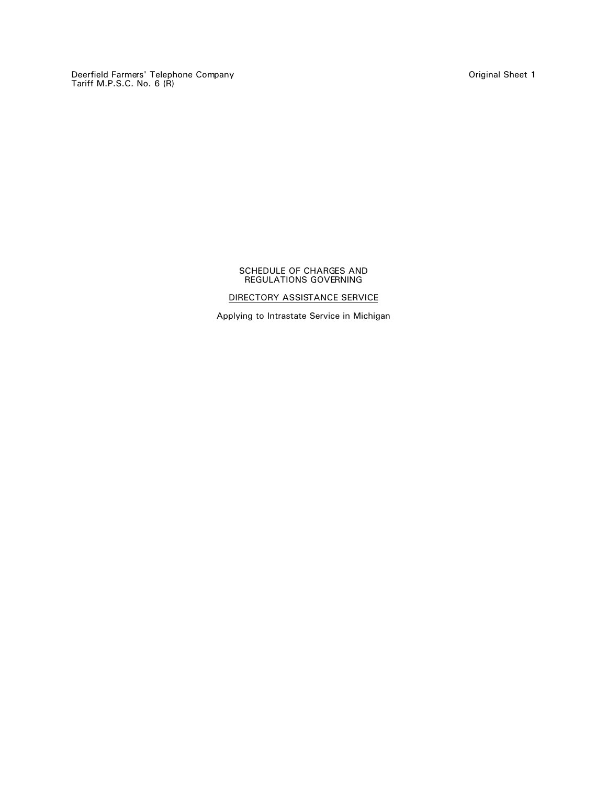Deerfield Farmers' Telephone Company Original Sheet 1 Tariff M.P.S.C. No. 6 (R)

### SCHEDULE OF CHARGES AND REGULATIONS GOVERNING

# DIRECTORY ASSISTANCE SERVICE

Applying to Intrastate Service in Michigan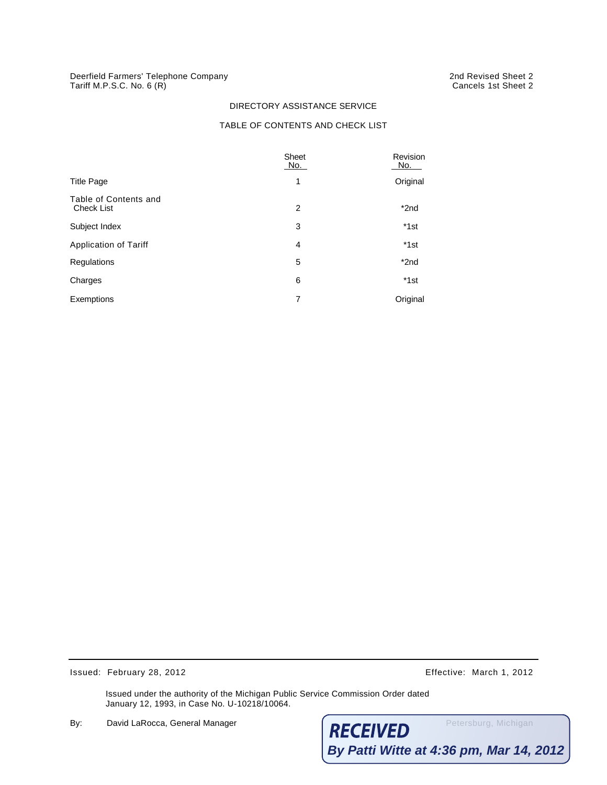### DIRECTORY ASSISTANCE SERVICE

## TABLE OF CONTENTS AND CHECK LIST

|                                     | Sheet<br>No.   | Revision<br>No. |  |
|-------------------------------------|----------------|-----------------|--|
| <b>Title Page</b>                   | 1              | Original        |  |
| Table of Contents and<br>Check List | 2              | *2nd            |  |
| Subject Index                       | 3              | *1st            |  |
| Application of Tariff               | 4              | $*1st$          |  |
| Regulations                         | 5              | $*$ 2nd         |  |
| Charges                             | 6              | *1st            |  |
| Exemptions                          | $\overline{7}$ | Original        |  |

Issued: February 28, 2012 Effective: March 1, 2012

Issued under the authority of the Michigan Public Service Commission Order dated January 12, 1993, in Case No. U-10218/10064.

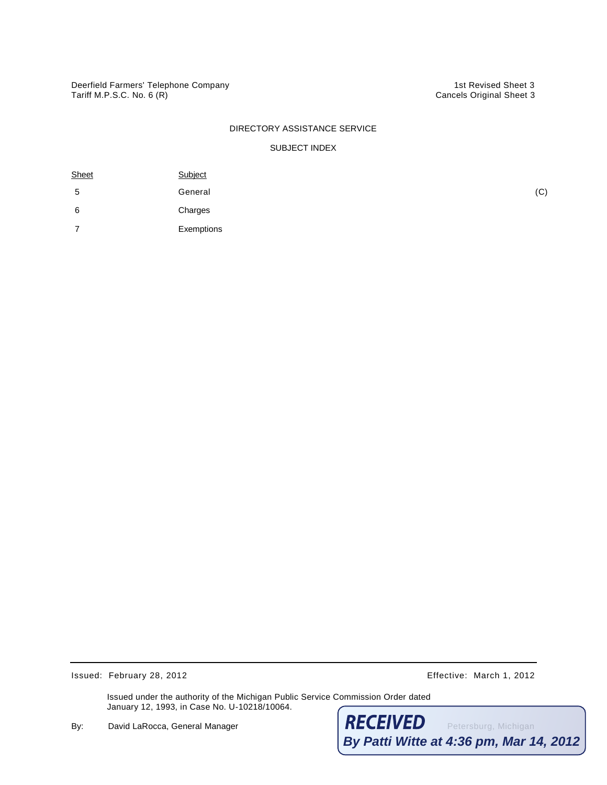### DIRECTORY ASSISTANCE SERVICE

### SUBJECT INDEX

| Sheet | Subject    |     |
|-------|------------|-----|
| 5     | General    | (C) |
| 6     | Charges    |     |
|       | Exemptions |     |

Issued: February 28, 2012 **Effective:** March 1, 2012

Issued under the authority of the Michigan Public Service Commission Order dated January 12, 1993, in Case No. U-10218/10064.

By: David LaRocca, General Manager Petersburg, Michigan **By Patti Witte at 4:36 pm, Mar 14, 2012**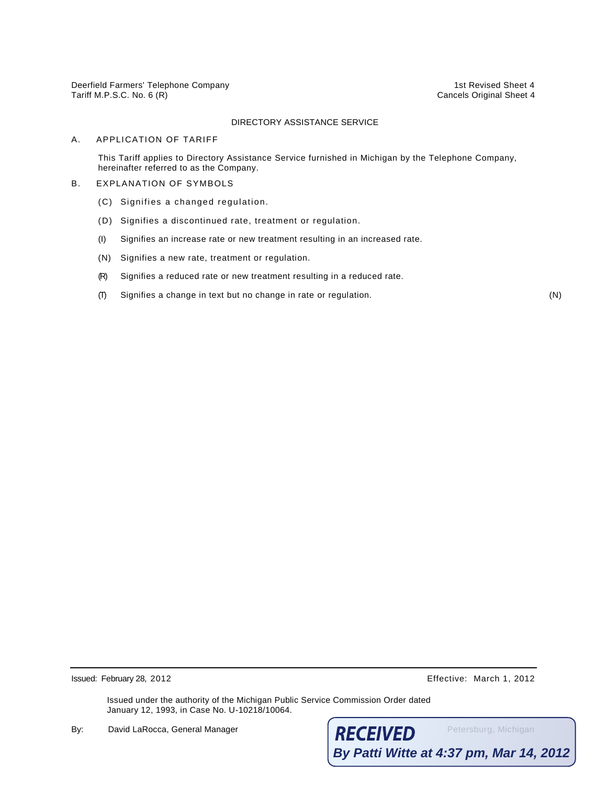Deerfield Farmers' Telephone Company 1st Revised Sheet 4 Tariff M.P.S.C. No. 6 (R) Cancels Original Sheet 4

### DIRECTORY ASSISTANCE SERVICE

#### A. APPLICATION OF TARIFF

This Tariff applies to Directory Assistance Service furnished in Michigan by the Telephone Company, hereinafter referred to as the Company.

### B. EXPLANATION OF SYMBOLS

- (C) Signifies a changed regulation.
- (D) Signifies a discontinued rate, treatment or regulation.
- (I) Signifies an increase rate or new treatment resulting in an increased rate.
- (N) Signifies a new rate, treatment or regulation.
- (R) Signifies a reduced rate or new treatment resulting in a reduced rate.
- (T) Signifies a change in text but no change in rate or regulation. (N)

Issued: February 28, 2012 Effective: March 1, 2012

Issued under the authority of the Michigan Public Service Commission Order dated January 12, 1993, in Case No. U-10218/10064.

By: David LaRocca, General Manager **RECEIVED** Petersburg, Michigan **By Patti Witte at 4:37 pm, Mar 14, 2012**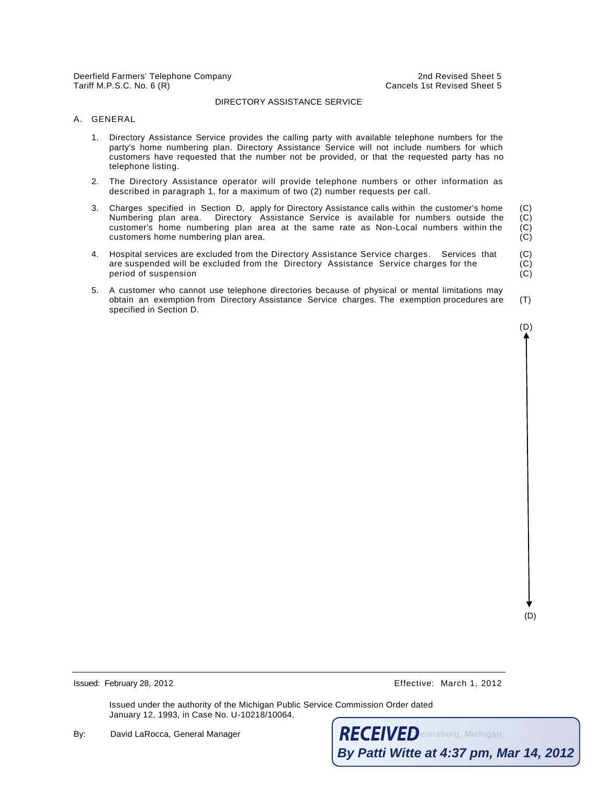Deerfield Farmers' Telephone Company 2nd Revised Sheet 5 Tariff M.P.S.C. No. 6 (R) Cancels 1st Revised Sheet 5

#### DIRECTORY ASSISTANCE SERVICE

#### A. GENERAL

- 1. Directory Assistance Service provides the calling party with available telephone numbers for the party's home numbering plan. Directory Assistance Service will not include numbers for which customers have requested that the number not be provided, or that the requested party has no telephone listing.
- 2. The Directory Assistance operator will provide telephone numbers or other information as described in paragraph 1, for a maximum of two (2) number requests per call.
- 3. Charges specified in Section D, apply for Directory Assistance calls within the customer's home (C) Numbering plan area. Directory Assistance Service is available for numbers outside the (C) customer's home numbering plan area at the same rate as Non-Local numbers within the (C) customer's home numbering plan area at the same rate as Non-Local numbers within the customers home numbering plan area. (C)
- 4. Hospital services are excluded from the Directory Assistance Service charges. Services that (C) are suspended will be excluded from the Directory Assistance Service charges for the (C) period of suspension (C)
- 5. A customer who cannot use telephone directories because of physical or mental limitations may obtain an exemption from Directory Assistance Service charges. The exemption procedures are (T) specified in Section D.

(D)

(D)

Issued: February 28, 2012 Effective: March 1, 2012

Issued under the authority of the Michigan Public Service Commission Order dated January 12, 1993, in Case No. U-10218/10064.

By: David LaRocca, General Manager Petersburg, Michigan **By Patti Witte at 4:37 pm, Mar 14, 2012**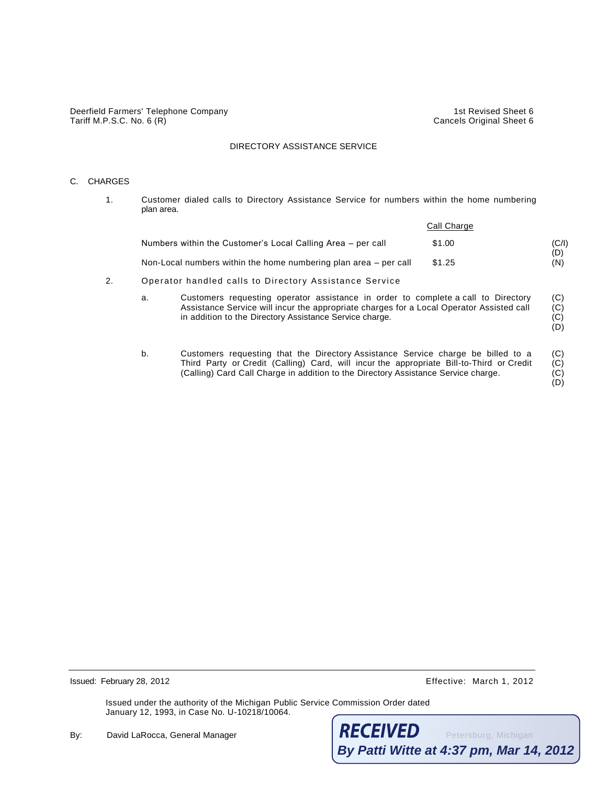Deerfield Farmers' Telephone Company 1st Revised Sheet 6 Tariff M.P.S.C. No. 6 (R) Cancels Original Sheet 6

#### DIRECTORY ASSISTANCE SERVICE

### C. CHARGES

1. Customer dialed calls to Directory Assistance Service for numbers within the home numbering plan area.

|                                                                  | Call Charge |       |  |
|------------------------------------------------------------------|-------------|-------|--|
| Numbers within the Customer's Local Calling Area – per call      | \$1.00      | (C/I) |  |
| Non-Local numbers within the home numbering plan area – per call | \$1.25      | (N)   |  |
| Operator handled collected Directory Assistance Cervice          |             |       |  |

- 2. Operator handled calls to Directory Assistance Service
	- a. Customers requesting operator assistance in order to complete a call to Directory (C)<br>Assistance Service will incur the appropriate charges for a Local Operator Assisted call (C) Assistance Service will incur the appropriate charges for a Local Operator Assisted call (C) in addition to the Directory Assistance Service charge. in addition to the Directory Assistance Service charge.
	- b. Customers requesting that the Directory Assistance Service charge be billed to a (C) Third Party or Credit (Calling) Card, will incur the appropriate Bill-to-Third or Credit (C) (Calling) Card Call Charge in addition to the Directory Assistance Service charge. (C)

(D) (D)

Issued: February 28, 2012 Effective: March 1, 2012

Issued under the authority of the Michigan Public Service Commission Order dated January 12, 1993, in Case No. U-10218/10064.

By: David LaRocca, General Manager **RECEIVED** Petersburg, Michigan **By Patti Witte at 4:37 pm, Mar 14, 2012**